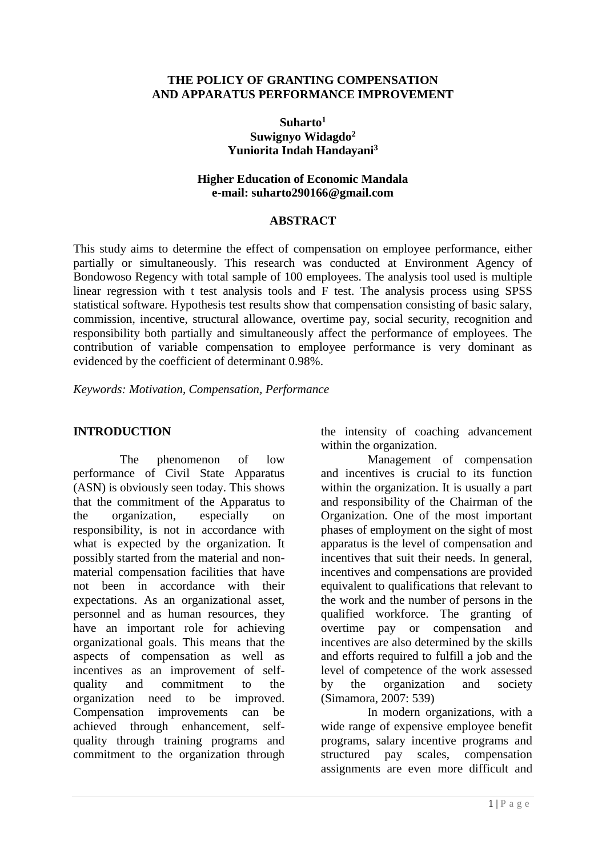#### **THE POLICY OF GRANTING COMPENSATION AND APPARATUS PERFORMANCE IMPROVEMENT**

#### **Suharto<sup>1</sup> Suwignyo Widagdo<sup>2</sup> Yuniorita Indah Handayani<sup>3</sup>**

#### **Higher Education of Economic Mandala e-mail: suharto290166@gmail.com**

### **ABSTRACT**

This study aims to determine the effect of compensation on employee performance, either partially or simultaneously. This research was conducted at Environment Agency of Bondowoso Regency with total sample of 100 employees. The analysis tool used is multiple linear regression with t test analysis tools and F test. The analysis process using SPSS statistical software. Hypothesis test results show that compensation consisting of basic salary, commission, incentive, structural allowance, overtime pay, social security, recognition and responsibility both partially and simultaneously affect the performance of employees. The contribution of variable compensation to employee performance is very dominant as evidenced by the coefficient of determinant 0.98%.

*Keywords: Motivation, Compensation, Performance*

## **INTRODUCTION**

The phenomenon of low performance of Civil State Apparatus (ASN) is obviously seen today. This shows that the commitment of the Apparatus to the organization, especially on responsibility, is not in accordance with what is expected by the organization. It possibly started from the material and nonmaterial compensation facilities that have not been in accordance with their expectations. As an organizational asset, personnel and as human resources, they have an important role for achieving organizational goals. This means that the aspects of compensation as well as incentives as an improvement of selfquality and commitment to the organization need to be improved. Compensation improvements can be achieved through enhancement, selfquality through training programs and commitment to the organization through the intensity of coaching advancement within the organization.

Management of compensation and incentives is crucial to its function within the organization. It is usually a part and responsibility of the Chairman of the Organization. One of the most important phases of employment on the sight of most apparatus is the level of compensation and incentives that suit their needs. In general, incentives and compensations are provided equivalent to qualifications that relevant to the work and the number of persons in the qualified workforce. The granting of overtime pay or compensation and incentives are also determined by the skills and efforts required to fulfill a job and the level of competence of the work assessed by the organization and society (Simamora, 2007: 539)

In modern organizations, with a wide range of expensive employee benefit programs, salary incentive programs and structured pay scales, compensation assignments are even more difficult and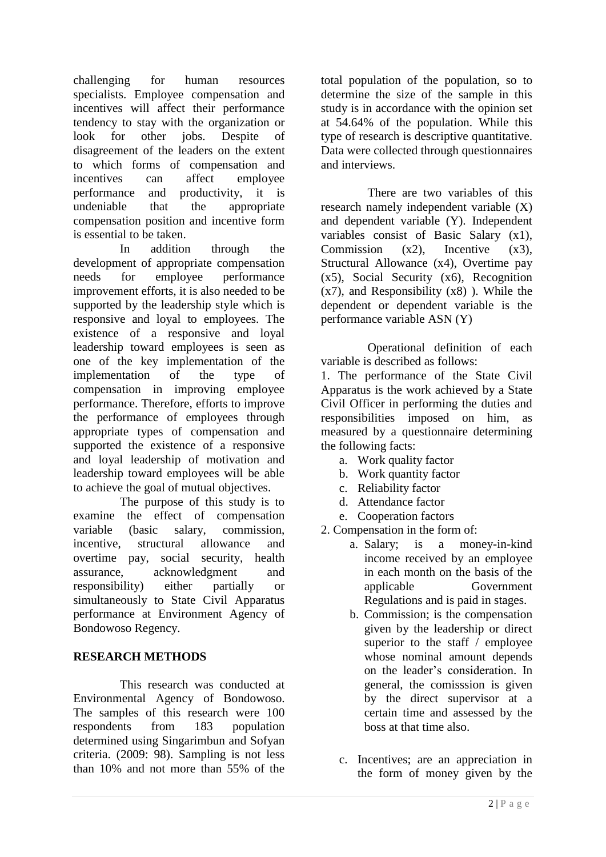challenging for human resources specialists. Employee compensation and incentives will affect their performance tendency to stay with the organization or look for other jobs. Despite of disagreement of the leaders on the extent to which forms of compensation and incentives can affect employee performance and productivity, it is undeniable that the appropriate compensation position and incentive form is essential to be taken.

In addition through the development of appropriate compensation needs for employee performance improvement efforts, it is also needed to be supported by the leadership style which is responsive and loyal to employees. The existence of a responsive and loyal leadership toward employees is seen as one of the key implementation of the implementation of the type of compensation in improving employee performance. Therefore, efforts to improve the performance of employees through appropriate types of compensation and supported the existence of a responsive and loyal leadership of motivation and leadership toward employees will be able to achieve the goal of mutual objectives.

The purpose of this study is to examine the effect of compensation variable (basic salary, commission, incentive, structural allowance and overtime pay, social security, health assurance, acknowledgment and responsibility) either partially or simultaneously to State Civil Apparatus performance at Environment Agency of Bondowoso Regency.

# **RESEARCH METHODS**

This research was conducted at Environmental Agency of Bondowoso. The samples of this research were 100 respondents from 183 population determined using Singarimbun and Sofyan criteria. (2009: 98). Sampling is not less than 10% and not more than 55% of the

total population of the population, so to determine the size of the sample in this study is in accordance with the opinion set at 54.64% of the population. While this type of research is descriptive quantitative. Data were collected through questionnaires and interviews.

There are two variables of this research namely independent variable (X) and dependent variable (Y). Independent variables consist of Basic Salary (x1), Commission  $(x2)$ , Incentive  $(x3)$ , Structural Allowance (x4), Overtime pay (x5), Social Security (x6), Recognition  $(x7)$ , and Responsibility  $(x8)$ ). While the dependent or dependent variable is the performance variable ASN (Y)

Operational definition of each variable is described as follows:

1. The performance of the State Civil Apparatus is the work achieved by a State Civil Officer in performing the duties and responsibilities imposed on him, as measured by a questionnaire determining the following facts:

- a. Work quality factor
- b. Work quantity factor
- c. Reliability factor
- d. Attendance factor
- e. Cooperation factors
- 2. Compensation in the form of:
	- a. Salary; is a money-in-kind income received by an employee in each month on the basis of the applicable Government Regulations and is paid in stages.
	- b. Commission; is the compensation given by the leadership or direct superior to the staff / employee whose nominal amount depends on the leader's consideration. In general, the comisssion is given by the direct supervisor at a certain time and assessed by the boss at that time also.
	- c. Incentives; are an appreciation in the form of money given by the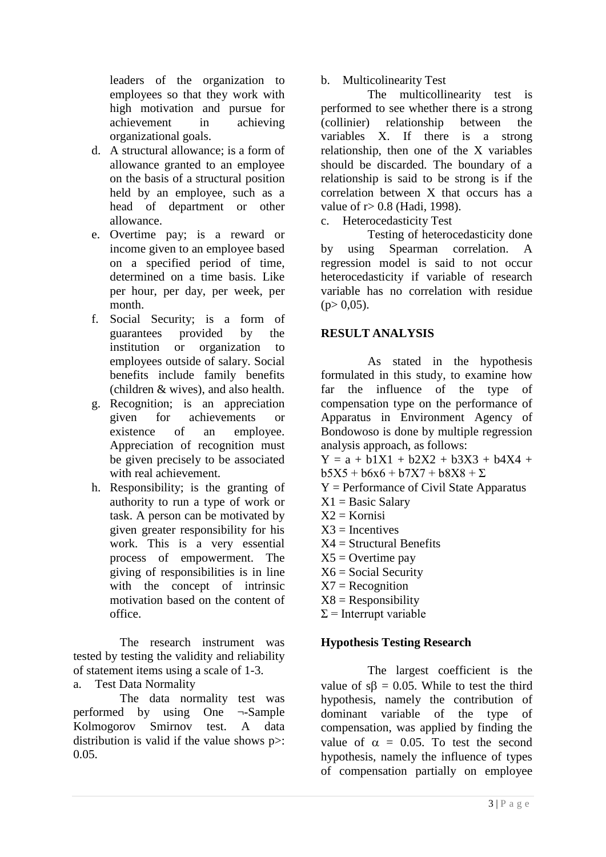leaders of the organization to employees so that they work with high motivation and pursue for achievement in achieving organizational goals.

- d. A structural allowance; is a form of allowance granted to an employee on the basis of a structural position held by an employee, such as a head of department or other allowance.
- e. Overtime pay; is a reward or income given to an employee based on a specified period of time, determined on a time basis. Like per hour, per day, per week, per month.
- f. Social Security; is a form of guarantees provided by the institution or organization to employees outside of salary. Social benefits include family benefits (children & wives), and also health.
- g. Recognition; is an appreciation given for achievements or existence of an employee. Appreciation of recognition must be given precisely to be associated with real achievement.
- h. Responsibility; is the granting of authority to run a type of work or task. A person can be motivated by given greater responsibility for his work. This is a very essential process of empowerment. The giving of responsibilities is in line with the concept of intrinsic motivation based on the content of office.

The research instrument was tested by testing the validity and reliability of statement items using a scale of 1-3.

a. Test Data Normality

The data normality test was performed by using One ¬-Sample Kolmogorov Smirnov test. A data distribution is valid if the value shows p>: 0.05.

b. Multicolinearity Test

The multicollinearity test is performed to see whether there is a strong (collinier) relationship between the variables X. If there is a strong relationship, then one of the X variables should be discarded. The boundary of a relationship is said to be strong is if the correlation between X that occurs has a value of r> 0.8 (Hadi, 1998).

c. Heterocedasticity Test

Testing of heterocedasticity done by using Spearman correlation. A regression model is said to not occur heterocedasticity if variable of research variable has no correlation with residue  $(p> 0.05)$ .

# **RESULT ANALYSIS**

As stated in the hypothesis formulated in this study, to examine how far the influence of the type of compensation type on the performance of Apparatus in Environment Agency of Bondowoso is done by multiple regression analysis approach, as follows:

 $Y = a + b1X1 + b2X2 + b3X3 + b4X4 +$  $b5X5 + b6x6 + b7X7 + b8X8 + \Sigma$ 

- Y = Performance of Civil State Apparatus
- $X1 = Basic$  Salary
- $X2 = Kornisi$
- $X3 =$  Incentives
- $X4 =$  Structural Benefits
- $X5 =$  Overtime pay
- $X6 = Social Security$
- $X7 = Reognition$
- $X8 =$ Responsibility
- $\Sigma$  = Interrupt variable

# **Hypothesis Testing Research**

The largest coefficient is the value of  $s\beta = 0.05$ . While to test the third hypothesis, namely the contribution of dominant variable of the type of compensation, was applied by finding the value of  $\alpha = 0.05$ . To test the second hypothesis, namely the influence of types of compensation partially on employee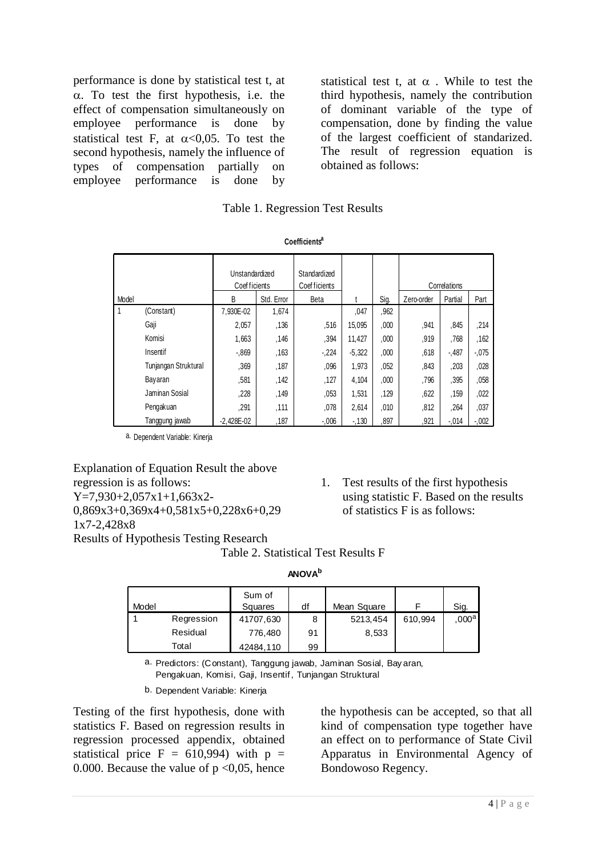performance is done by statistical test t, at  $\alpha$ . To test the first hypothesis, i.e. the effect of compensation simultaneously on employee performance is done by statistical test F, at  $\alpha < 0.05$ . To test the second hypothesis, namely the influence of types of compensation partially on employee performance is done by

statistical test t, at  $\alpha$ . While to test the third hypothesis, namely the contribution of dominant variable of the type of compensation, done by finding the value of the largest coefficient of standarized. The result of regression equation is obtained as follows:

|  | <b>Table 1. Regression Test Results</b> |  |  |
|--|-----------------------------------------|--|--|
|--|-----------------------------------------|--|--|

|       |                      | Unstandardized<br>Coef ficients |            | Standardized<br>Coef ficients |          |      |            | Correlations |          |
|-------|----------------------|---------------------------------|------------|-------------------------------|----------|------|------------|--------------|----------|
| Model |                      | B                               | Std. Error | <b>Beta</b>                   |          | Sig. | Zero-order | Partial      | Part     |
| 1     | (Constant)           | 7.930E-02                       | 1,674      |                               | ,047     | ,962 |            |              |          |
|       | Gaji                 | 2,057                           | .136       | .516                          | 15,095   | ,000 | .941       | ,845         | ,214     |
|       | Komisi               | 1,663                           | ,146       | .394                          | 11,427   | ,000 | ,919       | .768         | ,162     |
|       | Insentif             | $-0.869$                        | ,163       | $-.224$                       | $-5,322$ | 000, | .618       | $-487$       | $-0.075$ |
|       | Tunjangan Struktural | ,369                            | ,187       | .096                          | 1,973    | 052  | ,843       | ,203         | ,028     |
|       | Bayaran              | .581                            | ,142       | ,127                          | 4,104    | 000, | ,796       | ,395         | ,058     |
|       | Jaminan Sosial       | ,228                            | .149       | .053                          | 1,531    | ,129 | ,622       | ,159         | ,022     |
|       | Pengakuan            | ,291                            | ,111       | .078                          | 2,614    | .010 | .812       | ,264         | ,037     |
|       | Tanggung jawab       | $-2.428E - 02$                  | ,187       | $-0.06$                       | $-130$   | .897 | .921       | $-.014$      | $-0.002$ |

a. Dependent Variable: Kinerja

Explanation of Equation Result the above regression is as follows:  $Y=7.930+2.057x1+1.663x2-$ 0,869x3+0,369x4+0,581x5+0,228x6+0,29 1x7-2,428x8 Results of Hypothesis Testing Research

1. Test results of the first hypothesis using statistic F. Based on the results of statistics F is as follows:

| Table 2. Statistical Test Results F |  |  |
|-------------------------------------|--|--|
|                                     |  |  |

| ANOV/ |  |
|-------|--|
|-------|--|

| Model |                                                                                                                            | Sum of<br>Squares | df | Mean Square | F       | Sig.              |  |  |  |  |
|-------|----------------------------------------------------------------------------------------------------------------------------|-------------------|----|-------------|---------|-------------------|--|--|--|--|
|       |                                                                                                                            |                   |    |             |         |                   |  |  |  |  |
|       | Regression                                                                                                                 | 41707,630         | 8  | 5213,454    | 610.994 | ,000 <sup>a</sup> |  |  |  |  |
|       | Residual                                                                                                                   | 776,480           | 91 | 8,533       |         |                   |  |  |  |  |
|       | Total                                                                                                                      | 42484,110         | 99 |             |         |                   |  |  |  |  |
|       | a. Predictors: (Constant), Tanggung jawab, Jaminan Sosial, Bayaran,<br>Denaskuan Kamisi Caji Ingentif Tuniangan Struktural |                   |    |             |         |                   |  |  |  |  |

Pengakuan, Komisi, Gaji, Insentif, Tunjangan Struktural a.

b. Dependent Variable: Kinerja

Testing of the first hypothesis, done with statistics F. Based on regression results in regression processed appendix, obtained statistical price  $F = 610,994$ ) with  $p =$ 0.000. Because the value of  $p \le 0.05$ , hence the hypothesis can be accepted, so that all kind of compensation type together have an effect on to performance of State Civil Apparatus in Environmental Agency of Bondowoso Regency.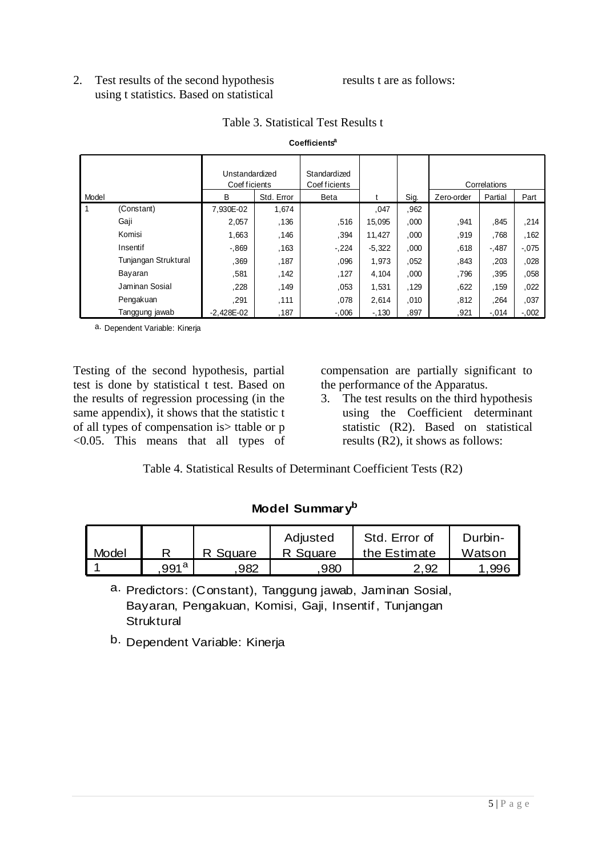2. Test results of the second hypothesis using t statistics. Based on statistical

#### results t are as follows:

|       | Coefficients"        |                                 |            |                               |          |      |            |              |          |  |  |  |
|-------|----------------------|---------------------------------|------------|-------------------------------|----------|------|------------|--------------|----------|--|--|--|
|       |                      | Unstandardized<br>Coef ficients |            | Standardized<br>Coef ficients |          |      |            | Correlations |          |  |  |  |
| Model |                      | В                               | Std. Error | Beta                          |          | Sig. | Zero-order | Partial      | Part     |  |  |  |
| 1     | (Constant)           | 7.930E-02                       | 1,674      |                               | ,047     | .962 |            |              |          |  |  |  |
|       | Gaji                 | 2,057                           | .136       | .516                          | 15,095   | ,000 | .941       | .845         | ,214     |  |  |  |
|       | Komisi               | 1,663                           | ,146       | ,394                          | 11,427   | ,000 | ,919       | .768         | ,162     |  |  |  |
|       | Insentif             | $-0.869$                        | .163       | $-.224$                       | $-5,322$ | ,000 | ,618       | $-.487$      | $-0.075$ |  |  |  |
|       | Tunjangan Struktural | .369                            | ,187       | ,096                          | 1,973    | 052  | .843       | ,203         | ,028     |  |  |  |
|       | Bayaran              | ,581                            | .142       | ,127                          | 4,104    | ,000 | .796       | ,395         | ,058     |  |  |  |
|       | Jaminan Sosial       | ,228                            | .149       | .053                          | 1,531    | ,129 | ,622       | ,159         | ,022     |  |  |  |
|       | Pengakuan            | .291                            | ,111       | .078                          | 2,614    | .010 | .812       | .264         | ,037     |  |  |  |
|       | Tanggung jawab       | $-2,428E-02$                    | ,187       | $-0.006$                      | $-130$   | .897 | ,921       | $-.014$      | $-0.002$ |  |  |  |

#### Table 3. Statistical Test Results t

**Coefficients<sup>a</sup>**

a. Dependent Variable: Kinerja

Testing of the second hypothesis, partial test is done by statistical t test. Based on the results of regression processing (in the same appendix), it shows that the statistic t of all types of compensation is> ttable or p <0.05. This means that all types of compensation are partially significant to the performance of the Apparatus.

3. The test results on the third hypothesis using the Coefficient determinant statistic (R2). Based on statistical results (R2), it shows as follows:

Table 4. Statistical Results of Determinant Coefficient Tests (R2)

# **Model Summary<sup>b</sup>**

|       |                  |          | Adjusted | Std. Error of | Durbin- |
|-------|------------------|----------|----------|---------------|---------|
| Model |                  | R Square | R Square | the Estimate  | Watson  |
|       | 991 <sup>a</sup> | 982      | 980      | 2.92          | .996    |

a. Predictors: (Constant), Tanggung jawab, Jaminan Sosial, Bayaran, Pengakuan, Komisi, Gaji, Insentif, Tunjangan **Struktural** 

b. Dependent Variable: Kinerja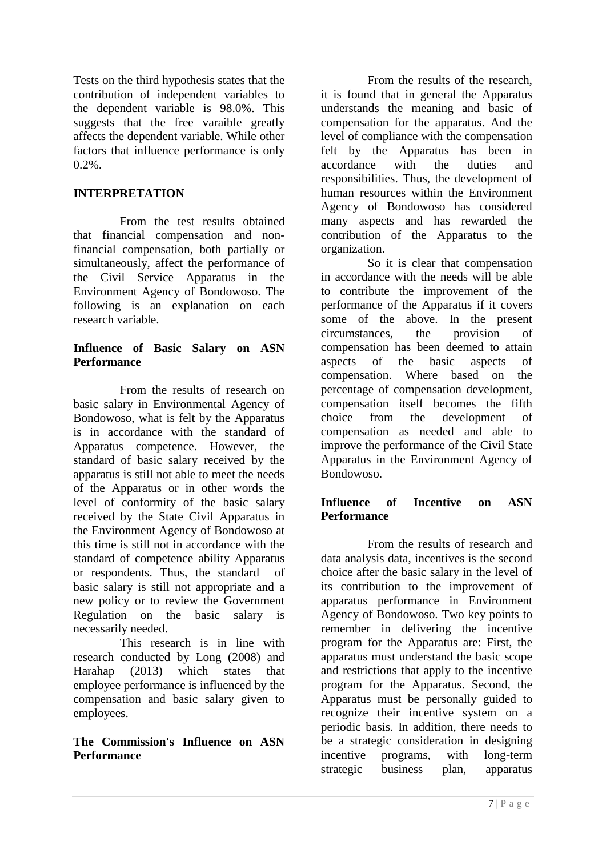Tests on the third hypothesis states that the contribution of independent variables to the dependent variable is 98.0%. This suggests that the free varaible greatly affects the dependent variable. While other factors that influence performance is only  $0.2\%$ .

## **INTERPRETATION**

From the test results obtained that financial compensation and nonfinancial compensation, both partially or simultaneously, affect the performance of the Civil Service Apparatus in the Environment Agency of Bondowoso. The following is an explanation on each research variable.

## **Influence of Basic Salary on ASN Performance**

From the results of research on basic salary in Environmental Agency of Bondowoso, what is felt by the Apparatus is in accordance with the standard of Apparatus competence. However, the standard of basic salary received by the apparatus is still not able to meet the needs of the Apparatus or in other words the level of conformity of the basic salary received by the State Civil Apparatus in the Environment Agency of Bondowoso at this time is still not in accordance with the standard of competence ability Apparatus or respondents. Thus, the standard of basic salary is still not appropriate and a new policy or to review the Government Regulation on the basic salary is necessarily needed.

This research is in line with research conducted by Long (2008) and Harahap (2013) which states that employee performance is influenced by the compensation and basic salary given to employees.

## **The Commission's Influence on ASN Performance**

From the results of the research, it is found that in general the Apparatus understands the meaning and basic of compensation for the apparatus. And the level of compliance with the compensation felt by the Apparatus has been in accordance with the duties and responsibilities. Thus, the development of human resources within the Environment Agency of Bondowoso has considered many aspects and has rewarded the contribution of the Apparatus to the organization.

So it is clear that compensation in accordance with the needs will be able to contribute the improvement of the performance of the Apparatus if it covers some of the above. In the present circumstances, the provision of compensation has been deemed to attain aspects of the basic aspects of compensation. Where based on the percentage of compensation development, compensation itself becomes the fifth choice from the development of compensation as needed and able to improve the performance of the Civil State Apparatus in the Environment Agency of Bondowoso.

# **Influence of Incentive on ASN Performance**

From the results of research and data analysis data, incentives is the second choice after the basic salary in the level of its contribution to the improvement of apparatus performance in Environment Agency of Bondowoso. Two key points to remember in delivering the incentive program for the Apparatus are: First, the apparatus must understand the basic scope and restrictions that apply to the incentive program for the Apparatus. Second, the Apparatus must be personally guided to recognize their incentive system on a periodic basis. In addition, there needs to be a strategic consideration in designing incentive programs, with long-term strategic business plan, apparatus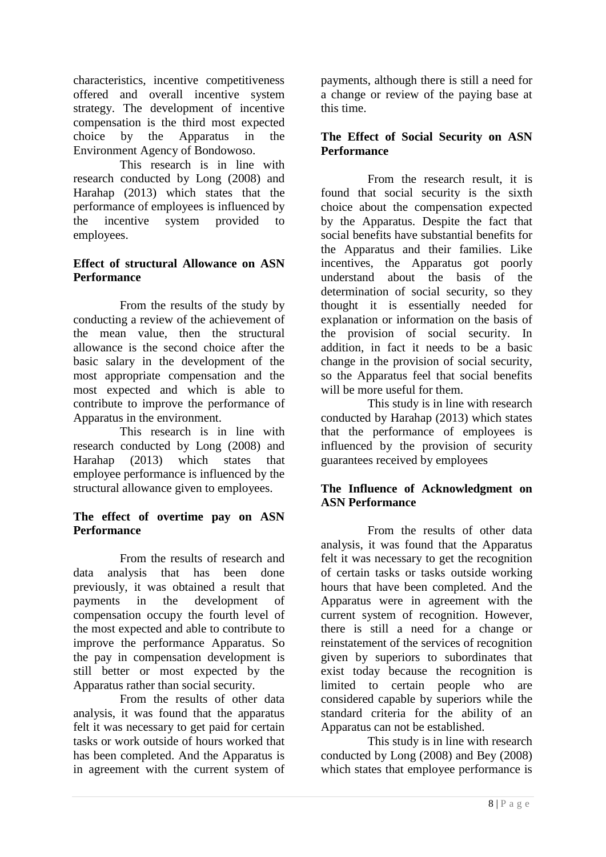characteristics, incentive competitiveness offered and overall incentive system strategy. The development of incentive compensation is the third most expected choice by the Apparatus in the Environment Agency of Bondowoso.

This research is in line with research conducted by Long (2008) and Harahap (2013) which states that the performance of employees is influenced by the incentive system provided to employees.

## **Effect of structural Allowance on ASN Performance**

From the results of the study by conducting a review of the achievement of the mean value, then the structural allowance is the second choice after the basic salary in the development of the most appropriate compensation and the most expected and which is able to contribute to improve the performance of Apparatus in the environment.

This research is in line with research conducted by Long (2008) and Harahap (2013) which states that employee performance is influenced by the structural allowance given to employees.

## **The effect of overtime pay on ASN Performance**

From the results of research and data analysis that has been done previously, it was obtained a result that payments in the development of compensation occupy the fourth level of the most expected and able to contribute to improve the performance Apparatus. So the pay in compensation development is still better or most expected by the Apparatus rather than social security.

From the results of other data analysis, it was found that the apparatus felt it was necessary to get paid for certain tasks or work outside of hours worked that has been completed. And the Apparatus is in agreement with the current system of payments, although there is still a need for a change or review of the paying base at this time.

### **The Effect of Social Security on ASN Performance**

From the research result, it is found that social security is the sixth choice about the compensation expected by the Apparatus. Despite the fact that social benefits have substantial benefits for the Apparatus and their families. Like incentives, the Apparatus got poorly understand about the basis of the determination of social security, so they thought it is essentially needed for explanation or information on the basis of the provision of social security. In addition, in fact it needs to be a basic change in the provision of social security, so the Apparatus feel that social benefits will be more useful for them.

This study is in line with research conducted by Harahap (2013) which states that the performance of employees is influenced by the provision of security guarantees received by employees

## **The Influence of Acknowledgment on ASN Performance**

From the results of other data analysis, it was found that the Apparatus felt it was necessary to get the recognition of certain tasks or tasks outside working hours that have been completed. And the Apparatus were in agreement with the current system of recognition. However, there is still a need for a change or reinstatement of the services of recognition given by superiors to subordinates that exist today because the recognition is limited to certain people who are considered capable by superiors while the standard criteria for the ability of an Apparatus can not be established.

This study is in line with research conducted by Long (2008) and Bey (2008) which states that employee performance is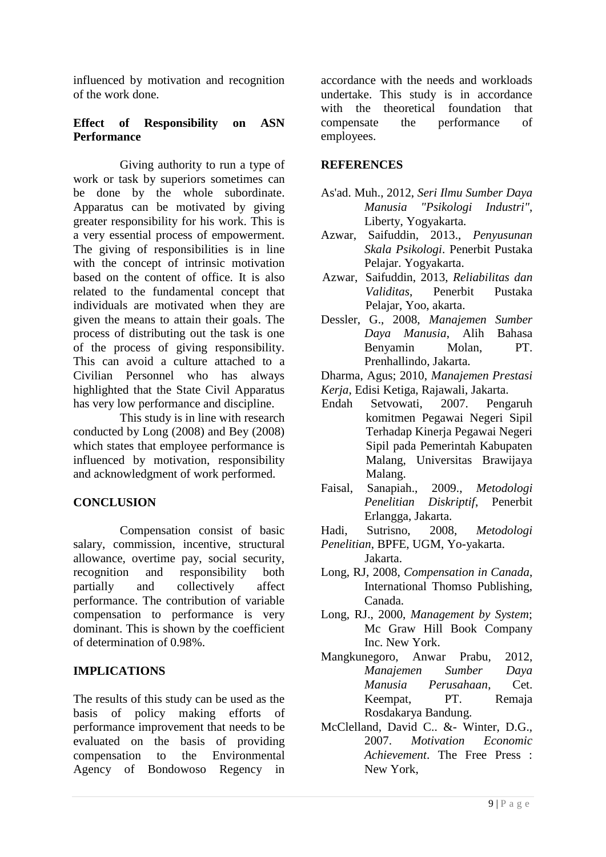influenced by motivation and recognition of the work done.

## **Effect of Responsibility on ASN Performance**

Giving authority to run a type of work or task by superiors sometimes can be done by the whole subordinate. Apparatus can be motivated by giving greater responsibility for his work. This is a very essential process of empowerment. The giving of responsibilities is in line with the concept of intrinsic motivation based on the content of office. It is also related to the fundamental concept that individuals are motivated when they are given the means to attain their goals. The process of distributing out the task is one of the process of giving responsibility. This can avoid a culture attached to a Civilian Personnel who has always highlighted that the State Civil Apparatus has very low performance and discipline.

This study is in line with research conducted by Long (2008) and Bey (2008) which states that employee performance is influenced by motivation, responsibility and acknowledgment of work performed.

# **CONCLUSION**

Compensation consist of basic salary, commission, incentive, structural allowance, overtime pay, social security, recognition and responsibility both partially and collectively affect performance. The contribution of variable compensation to performance is very dominant. This is shown by the coefficient of determination of 0.98%.

## **IMPLICATIONS**

The results of this study can be used as the basis of policy making efforts of performance improvement that needs to be evaluated on the basis of providing compensation to the Environmental Agency of Bondowoso Regency in accordance with the needs and workloads undertake. This study is in accordance with the theoretical foundation that compensate the performance of employees.

### **REFERENCES**

- As'ad. Muh., 2012, *Seri Ilmu Sumber Daya Manusia "Psikologi Industri"*, Liberty, Yogyakarta.
- Azwar, Saifuddin, 2013., *Penyusunan Skala Psikologi*. Penerbit Pustaka Pelajar. Yogyakarta.
- Azwar, Saifuddin, 2013, *Reliabilitas dan Validitas*, Penerbit Pustaka Pelajar, Yoo, akarta.
- Dessler, G., 2008, *Manajemen Sumber Daya Manusia*, Alih Bahasa Benyamin Molan, PT. Prenhallindo, Jakarta.
- Dharma, Agus; 2010, *Manajemen Prestasi*
- *Kerja*, Edisi Ketiga, Rajawali, Jakarta.
- Endah Setvowati, 2007. Pengaruh komitmen Pegawai Negeri Sipil Terhadap Kinerja Pegawai Negeri Sipil pada Pemerintah Kabupaten Malang, Universitas Brawijaya Malang.
- Faisal, Sanapiah., 2009., *Metodologi Penelitian Diskriptif*, Penerbit Erlangga, Jakarta.
- Hadi, Sutrisno, 2008, *Metodologi Penelitian*, BPFE, UGM, Yo-yakarta.
- Jakarta.
- Long, RJ, 2008, *Compensation in Canada*, International Thomso Publishing, Canada.
- Long, RJ., 2000, *Management by System*; Mc Graw Hill Book Company Inc. New York.
- Mangkunegoro, Anwar Prabu, 2012, *Manajemen Sumber Daya Manusia Perusahaan*, Cet. Keempat, PT. Remaja Rosdakarya Bandung.
- McClelland, David C.. &- Winter, D.G., 2007. *Motivation Economic Achievement*. The Free Press : New York,